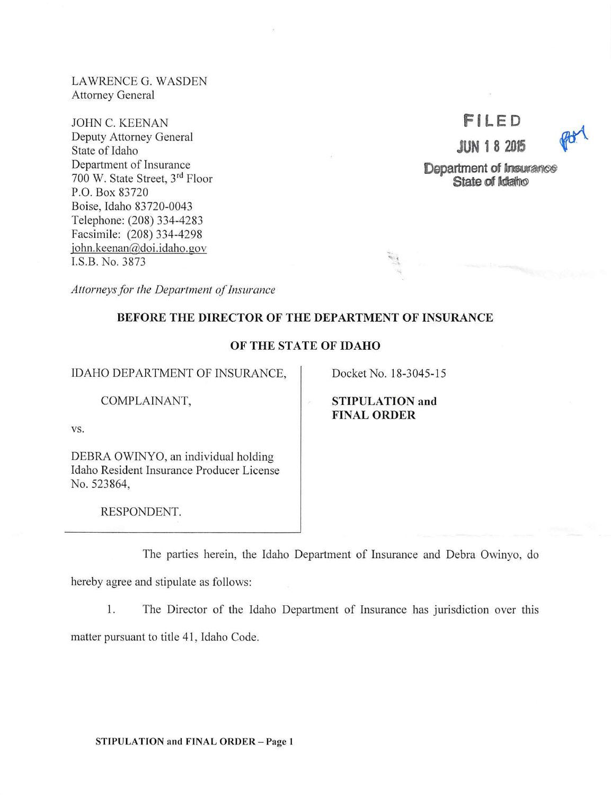LAWRENCE G. WASDEN Attorney General

JOHN C. KEENAN Deputy Attorney General State of Idaho Department of Insurance 700 W. State Street, 3rd Floor P.O. Box 83720 Boise, Idaho 83720-0043 Telephone: (208) 334-4283 Facsimile: (208) 334-4298 john.keenan@doi.idaho.gov I.S.B. No. 3873

# **Fl LED**

**JUN 1 8 2015** 



**Department of Insurance State of Idaho** 

*Attorneys for the Department of Insurance* 

# BEFORE THE DIRECTOR OF THE DEPARTMENT OF INSURANCE

## OF THE STATE OF IDAHO

IDAHO DEPARTMENT OF INSURANCE,

COMPLAINANT,

STIPULATION and

FINAL ORDER

Docket No. 18-3045-15

 $\sim$ 

vs.

DEBRA OWINYO, an individual holding Idaho Resident Insurance Producer License No. 523864,

RESPONDENT.

The parties herein, the Idaho Department of Insurance and Debra Owinyo, do

hereby agree and stipulate as follows:

1. The Director of the Idaho Department of Insurance has jurisdiction over this

matter pursuant to title 41 , Idaho Code.

STIPULATION and FINAL ORDER - Page 1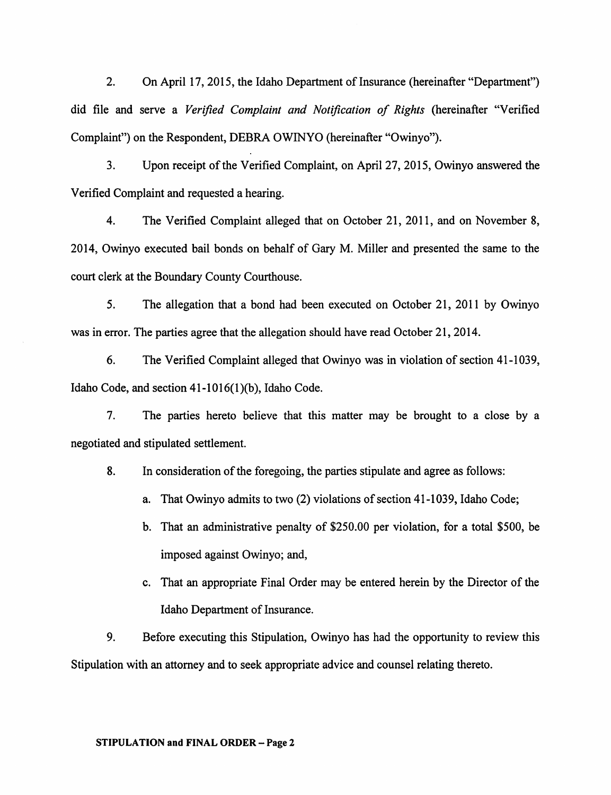2. On April 17, 2015, the Idaho Department of Insurance (hereinafter "Department") did file and serve a *Verified Complaint and Notification of Rights* (hereinafter "Verified Complaint") on the Respondent, DEBRA OWINYO (hereinafter "Owinyo").

3. Upon receipt of the Verified Complaint, on April 27, 2015, Owinyo answered the Verified Complaint and requested a hearing.

4. The Verified Complaint alleged that on October 21, 2011, and on November 8, 2014, Owinyo executed bail bonds on behalf of Gary M. Miller and presented the same to the court clerk at the Boundary County Courthouse.

5. The allegation that a bond had been executed on October 21, 2011 by Owinyo was in error. The parties agree that the allegation should have read October 21, 2014.

6. The Verified Complaint alleged that Owinyo was in violation of section 41-1039, Idaho Code, and section  $41-1016(1)(b)$ , Idaho Code.

7. The parties hereto believe that this matter may be brought to a close by a negotiated and stipulated settlement.

8. In consideration of the foregoing, the parties stipulate and agree as follows:

a. That Owinyo admits to two (2) violations of section 41-1039, Idaho Code;

- b. That an administrative penalty of \$250.00 per violation, for a total \$500, be imposed against Owinyo; and,
- c. That an appropriate Final Order may be entered herein by the Director of the Idaho Department of Insurance.

9. Before executing this Stipulation, Owinyo has had the opportunity to review this Stipulation with an attorney and to seek appropriate advice and counsel relating thereto.

#### STIPULATION and FINAL ORDER - Page 2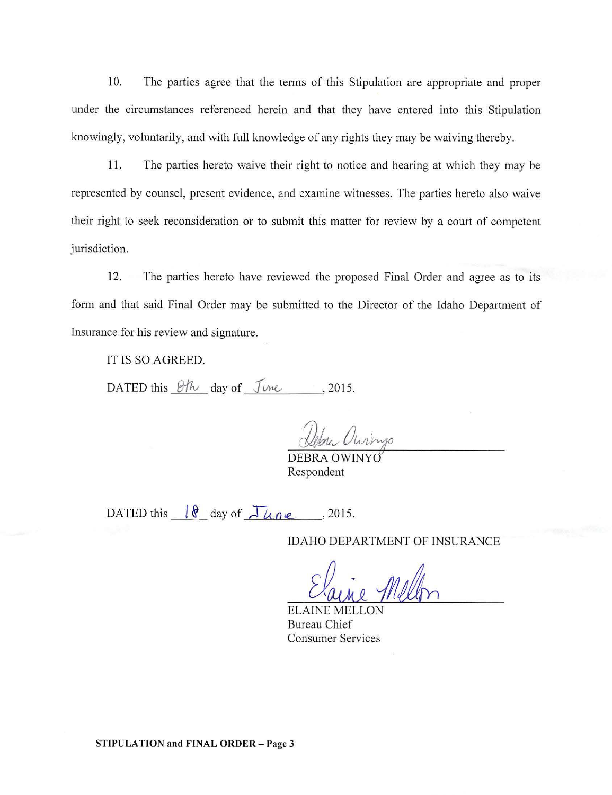10. The parties agree that the terms of this Stipulation are appropriate and proper under the circumstances referenced herein and that they have entered into this Stipulation knowingly, voluntarily, and with full knowledge of any rights they may be waiving thereby.

11. The parties hereto waive their right to notice and hearing at which they may be represented by counsel, present evidence, and examine witnesses. The parties hereto also waive their right to seek reconsideration or to submit this matter for review by a court of competent jurisdiction.

12. The parties hereto have reviewed the proposed Final Order and agree as to its form and that said Final Order may be submitted to the Director of the Idaho Department of Insurance for his review and signature.

IT IS SO AGREED.

DATED this  $\mathcal{B}/\mathcal{H}$  day of  $\mathcal{I}$ *vne*, 2015.

DEBRA OWINYO Respondent

DATED this  $\left\{ \begin{array}{ccc} \oint_{\mathcal{A}}^{\mathcal{A}} & \text{day of} & \mathcal{A} \\ \n\end{array} \right\}$   $\left\{ \begin{array}{ccc} \mathcal{A} & \mathcal{A} & \mathcal{A} \\ \n\mathcal{A} & \mathcal{A} & \mathcal{A} \end{array} \right\}$ 

IDAHO DEPARTMENT OF INSURANCE

ELAINE MELLON Bureau Chief Consumer Services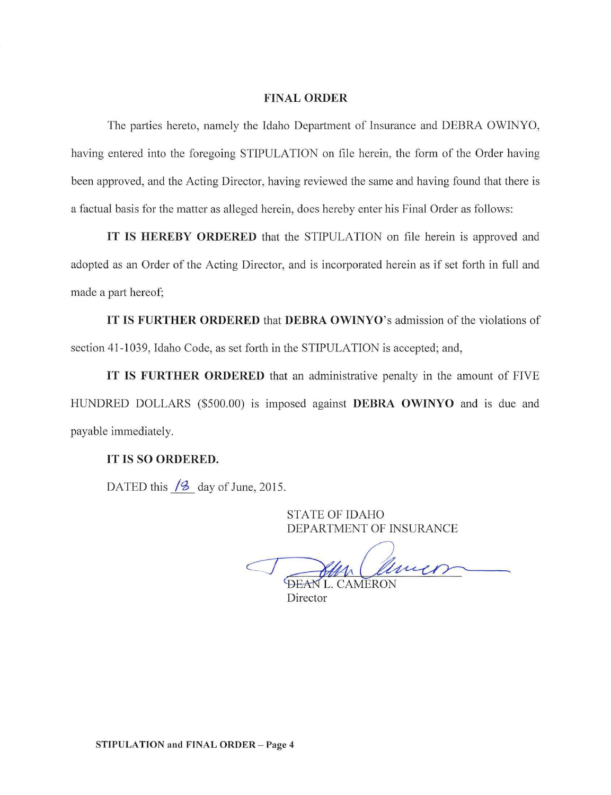#### **FINAL ORDER**

The parties hereto, namely the Idaho Department of Insurance and DEBRA OWINYO, having entered into the foregoing STIPULATION on file herein, the form of the Order having been approved, and the Acting Director, having reviewed the same and having found that there is a factual basis for the matter as alleged herein, does hereby enter his Final Order as follows:

**IT IS HEREBY ORDERED** that the STIPULATION on file herein is approved and adopted as an Order of the Acting Director, and is incorporated herein as if set forth **in** full and made a part hereof;

**IT IS FURTHER ORDERED** that **DEBRA OWINYO's** admission of the violations of section 41-1039, Idaho Code, as set forth in the STIPULATION is accepted; and,

**IT IS FURTHER ORDERED** that an administrative penalty in the amount of FIVE HUNDRED DOLLARS (\$500.00) is imposed against **DEBRA OWINYO** and is due and payable immediately.

## **IT IS SO ORDERED.**

DATED this  $/2$  day of June, 2015.

STATE OF IDAHO DEPARTMENT OF INSURANCE

Cameron

Director